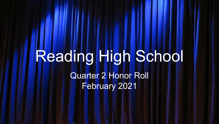# Reading High School Quarter 2 Honor Roll February 2021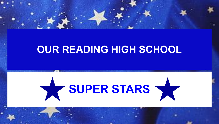

# **OUR READING HIGH SCHOOL**

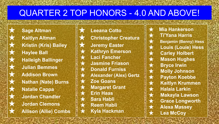## QUARTER 2 TOP HONORS - 4.0 AND ABOVE!

**Sage Altman** ★ **Kaitlyn Altman Kristin (Kris) Bailey Haylee Ball** ★ **Haileigh Ballinger** ★ **Julian Bemmes** ★ **Addison Brown Nathan (Nate) Burns Natalie Cappa Jordan Chandler** ★ **Jordan Clemons** ★ **Allison (Allie) Combs**

**Leeana Cotto Christopher Creatura Jeremy Easter Kathryn Emerson Laci Fancher** ★ **Jasmine Friason Donald Furniss** ★ **Alexander (Alex) Gertz Zoe Goans Margaret Grant Erin Haas Sara Habli Reem Habli** ★ **Kyla Hackman**

**Mia Hankerson** ★ **Ti'Yana Harris Benjamin (Benny) Hess** ★ **Louis (Louie) Hess Carley Holbert** ★ **Mason Hughes** ★ **Bryce Irwin Molly Johnson** ★ **Payton Koebbe** ★ **Kaitlyn Krummen** ★ **Halaia Larkin Makayla Lawson Grace Longworth** ★ **Alexa Massey Lea McCoy**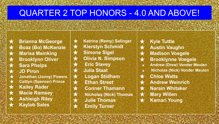#### QUARTER 2 TOP HONORS - 4.0 AND ABOVE!

**Brianna McGeorge** ★ **Boaz (Bo) McKenzie** ★ **Marisa Meinking Brooklynn Oliver** ★ **Sara Phelps** ★ **JD Piron** ★ **Jonathan (Jonny) Powers Caitlyn (Spencer) Prince** ★ **Kailey Rader** ★ **Macie Ramsey Ashleigh Riley Kaylob Sales** 

**★ Katrina (Remy) Salinger**<br>★ Kierstyn Schmidt **Kierstyn Schmidt** ★ **Simone Sigel Olivia N. Simpson Eric Slavey** ★ **Julia Staat** ★ **Logan Stidham** ★ **Ethan Street** ★ **Conner Thamann Nicholas (Nick) Thomas** ★ **Julie Thomas Emily Turner** 

- ★ **Kyle Tuttle**
	- **Austin Vaughn**
- ★ **Madison Voegele**
- ★ **Brooklynne Voegele**
- ★ **Andrew (Drew) Vonder Meulen**
- ★ **Nicholas (Nick) Vonder Meulen**
- ★ **Chloe Watts**
- ★ **Andrew Weinrich**
- ★ **Narain Whitaker**
- ★ **Mary Willen**
- ★ **Kamari Young**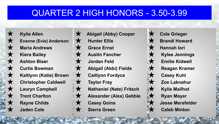#### QUARTER 2 HIGH HONORS - 3.50-3.99

★ **Kylie Allen Evanne (Evie) Anderson Maria Andrews** ★ **Kiera Bailey** ★ **Ashton Biser** ★ **Curtis Bowman** ★ **Kaitlynn (Katie) Brown Christopher Caldwell Lauryn Campbell Trent Charlton Rayne Childs Jaden Cole** 

★ **Abigail (Abby) Cooper** ★ **Hunter Ellis Grace Ernst** ★ **Austin Fancher Jordan Feld** ★ **Abigail (Abbi) Fields** ★ **Caitlynn Fordyce** ★ **Taylor Fray** ★ **Nathaniel (Nate) Fritsch** ★ **Alexander (Alex) Gebbie** ★ **Casey Goins Sierra Green** 

**Cole Grieger Brandi Howard Hannah lori** ★ **Kylee Jennings** ★ **Emilie Kidwell Reagan Kramer Casey Kuhl** ★ **Zoe Laknahur** ★ **Kylie Mailhot Ryan Mayer Jesse Mersfelder Caleb Minton**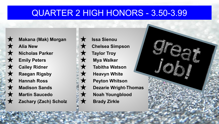#### QUARTER 2 HIGH HONORS - 3.50-3.99



**Makana (Mak) Morgan Alia New Nicholas Parker Emily Peters Cailey Ridner Raegan Rigsby Hannah Ross Madison Sands Martin Saucedo Zachary (Zach) Scholz** 

**Issa Sienou** ★ **Chelsea Simpson Taylor Troy** ★ **Mya Walker Tabitha Watson Heavyn White** ★ **Peyton Whitson Dezarie Wright-Thomas Noah Youngblood Brady Zirkle** 

**CENTRALISTS**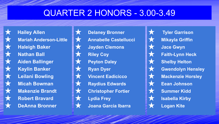## QUARTER 2 HONORS - 3.00-3.49



**Hailey Allen Mariah Anderson-Little Haleigh Baker Nathan Ball** ★ **Aiden Ballinger** ★ **Kaylin Banker Leilani Bowling Micah Bowman Makenzie Brandt Robert Bravard** ★ **DeAnna Bronner**



**Delaney Bronner** ★ **Annabelle Castellucci Jayden Clemons Riley Coy Peyton Daley Ryan Dyer Vincent Eadicicco Raydius Edwards Christopher Fortier Lydia Frey** ★ **Joana Garcia Ibarra**

★ **Tyler Garrison Mikayla Griffin** ★ **Jace Gwyn Faith-Lynn Heck Shelby Helton Gwendolyn Hensley Mackenzie Horsley Eean Johnson Summer Kidd Isabella Kirby Logan Kite**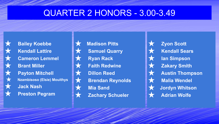#### QUARTER 2 HONORS - 3.00-3.49



**Bailey Koebbe ★** Kendall Lattire<br>★ Cameron Lemn<br>Brant Miller<br>★ Payton Mitchel<br>★ Nzambisoso (Elsie)<br>★ Jack Nash **Cameron Lemmel Brant Miller Payton Mitchell Nzambisoso (Elsie) Mouithys Jack Nash Preston Pegram** 



**Madison Pitts Samuel Quarry** ★ **Ryan Rack Faith Redwine Dillon Reed Brendan Reynolds Mia Sand Zachary Schueler** 

★ **Zyon Scott** ★ **Kendall Sears lan Simpson Zakary Smith Austin Thompson Malia Wendel Jordyn Whitson Adrian Wolfe**